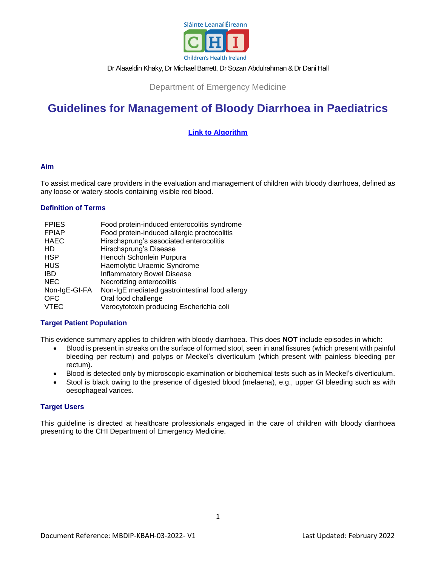

# Dr Alaaeldin Khaky, Dr Michael Barrett, Dr Sozan Abdulrahman & Dr Dani Hall

Department of Emergency Medicine

# **Guidelines for Management of Bloody Diarrhoea in Paediatrics**

# **[Link to Algorithm](https://www.olchc.ie/healthcare-professionals/clinical-guidelines/clinical-guidelines-hyperlink-files/bloody-diarrhoea-algorithm.pdf)**

#### **Aim**

To assist medical care providers in the evaluation and management of children with bloody diarrhoea, defined as any loose or watery stools containing visible red blood.

# **Definition of Terms**

| <b>FPIES</b>  | Food protein-induced enterocolitis syndrome    |
|---------------|------------------------------------------------|
| <b>FPIAP</b>  | Food protein-induced allergic proctocolitis    |
| <b>HAEC</b>   | Hirschsprung's associated enterocolitis        |
| HD            | Hirschsprung's Disease                         |
| <b>HSP</b>    | Henoch Schönlein Purpura                       |
| <b>HUS</b>    | Haemolytic Uraemic Syndrome                    |
| <b>IBD</b>    | <b>Inflammatory Bowel Disease</b>              |
| <b>NEC</b>    | Necrotizing enterocolitis                      |
| Non-IgE-GI-FA | Non-IgE mediated gastrointestinal food allergy |
| <b>OFC</b>    | Oral food challenge                            |
| <b>VTEC</b>   | Verocytotoxin producing Escherichia coli       |

#### **Target Patient Population**

This evidence summary applies to children with bloody diarrhoea. This does **NOT** include episodes in which:

- Blood is present in streaks on the surface of formed stool, seen in anal fissures (which present with painful bleeding per rectum) and polyps or Meckel's diverticulum (which present with painless bleeding per rectum).
- Blood is detected only by microscopic examination or biochemical tests such as in Meckel's diverticulum.
- Stool is black owing to the presence of digested blood (melaena), e.g., upper GI bleeding such as with oesophageal varices.

#### **Target Users**

This guideline is directed at healthcare professionals engaged in the care of children with bloody diarrhoea presenting to the CHI Department of Emergency Medicine.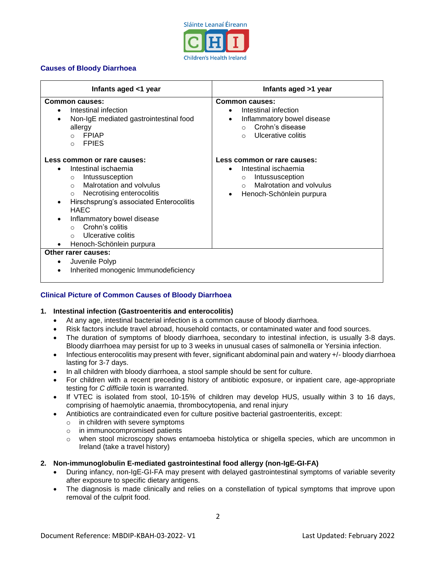

# **Causes of Bloody Diarrhoea**

| Infants aged <1 year                                                                                                                                                                                                                                                                                                                                                                        | Infants aged >1 year                                                                                                                                                          |
|---------------------------------------------------------------------------------------------------------------------------------------------------------------------------------------------------------------------------------------------------------------------------------------------------------------------------------------------------------------------------------------------|-------------------------------------------------------------------------------------------------------------------------------------------------------------------------------|
| <b>Common causes:</b><br>Intestinal infection<br>$\bullet$<br>Non-IgE mediated gastrointestinal food<br>allergy<br><b>FPIAP</b><br>$\cap$<br><b>FPIES</b><br>$\Omega$                                                                                                                                                                                                                       | <b>Common causes:</b><br>Intestinal infection<br>$\bullet$<br>Inflammatory bowel disease<br>$\bullet$<br>Crohn's disease<br>$\cap$<br>Ulcerative colitis<br>$\cap$            |
| Less common or rare causes:<br>Intestinal ischaemia<br>$\bullet$<br>Intussusception<br>$\circ$<br>Malrotation and volvulus<br>$\cap$<br>Necrotising enterocolitis<br>$\circ$<br>Hirschsprung's associated Enterocolitis<br>$\bullet$<br><b>HAEC</b><br>Inflammatory bowel disease<br>$\bullet$<br>Crohn's colitis<br>$\Omega$<br>Ulcerative colitis<br>$\Omega$<br>Henoch-Schönlein purpura | Less common or rare causes:<br>Intestinal ischaemia<br>$\bullet$<br>Intussusception<br>$\circ$<br>Malrotation and volvulus<br>$\cap$<br>Henoch-Schönlein purpura<br>$\bullet$ |
| Other rarer causes:<br>Juvenile Polyp<br>$\bullet$<br>Inherited monogenic Immunodeficiency                                                                                                                                                                                                                                                                                                  |                                                                                                                                                                               |

# **Clinical Picture of Common Causes of Bloody Diarrhoea**

#### **1. Intestinal infection (Gastroenteritis and enterocolitis)**

- At any age, intestinal bacterial infection is a common cause of bloody diarrhoea.
- Risk factors include travel abroad, household contacts, or contaminated water and food sources.
- The duration of symptoms of bloody diarrhoea, secondary to intestinal infection, is usually 3-8 days. Bloody diarrhoea may persist for up to 3 weeks in unusual cases of salmonella or Yersinia infection.
- Infectious enterocolitis may present with fever, significant abdominal pain and watery +/- bloody diarrhoea lasting for 3-7 days.
- In all children with bloody diarrhoea, a stool sample should be sent for culture.
- For children with a recent preceding history of antibiotic exposure, or inpatient care, age-appropriate testing for *C difficile* toxin is warranted.
- If VTEC is isolated from stool, 10-15% of children may develop HUS, usually within 3 to 16 days, comprising of haemolytic anaemia, thrombocytopenia, and renal injury
- Antibiotics are contraindicated even for culture positive bacterial gastroenteritis, except:
	- o in children with severe symptoms
	- o in immunocompromised patients
	- o when stool microscopy shows entamoeba histolytica or shigella species, which are uncommon in Ireland (take a travel history)
- **2. Non-immunoglobulin E-mediated gastrointestinal food allergy (non-IgE-GI-FA)**
	- During infancy, non-IgE-GI-FA may present with delayed gastrointestinal symptoms of variable severity after exposure to specific dietary antigens.
	- The diagnosis is made clinically and relies on a constellation of typical symptoms that improve upon removal of the culprit food.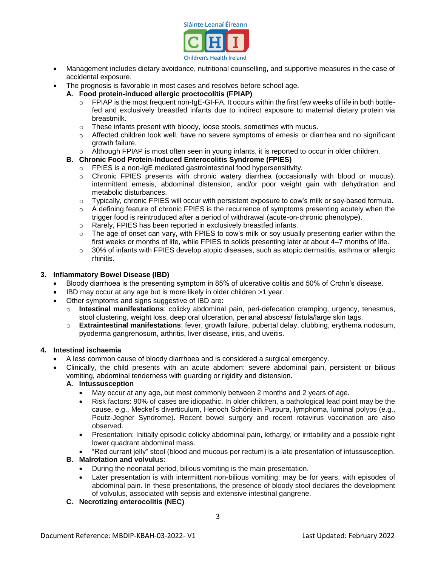

- Management includes dietary avoidance, nutritional counselling, and supportive measures in the case of accidental exposure.
- The prognosis is favorable in most cases and resolves before school age.
	- **A. Food protein-induced allergic proctocolitis (FPIAP)**
		- $\circ$  FPIAP is the most frequent non-IgE-GI-FA. It occurs within the first few weeks of life in both bottlefed and exclusively breastfed infants due to indirect exposure to maternal dietary protein via breastmilk.
		- $\circ$  These infants present with bloody, loose stools, sometimes with mucus.
		- o Affected children look well, have no severe symptoms of emesis or diarrhea and no significant growth failure.
		- $\circ$  Although FPIAP is most often seen in young infants, it is reported to occur in older children.

# **B. Chronic Food Protein-Induced Enterocolitis Syndrome (FPIES)**

- o FPIES is a non-IgE mediated gastrointestinal food hypersensitivity.
- o Chronic FPIES presents with chronic watery diarrhea (occasionally with blood or mucus), intermittent emesis, abdominal distension, and/or poor weight gain with dehydration and metabolic disturbances.
- o Typically, chronic FPIES will occur with persistent exposure to cow's milk or soy-based formula.
- o A defining feature of chronic FPIES is the recurrence of symptoms presenting acutely when the trigger food is reintroduced after a period of withdrawal (acute-on-chronic phenotype).
- o Rarely, FPIES has been reported in exclusively breastfed infants.
- $\circ$  The age of onset can vary, with FPIES to cow's milk or soy usually presenting earlier within the first weeks or months of life, while FPIES to solids presenting later at about 4–7 months of life.
- $\circ$  30% of infants with FPIES develop atopic diseases, such as atopic dermatitis, asthma or allergic rhinitis.

#### <span id="page-2-1"></span><span id="page-2-0"></span>**3. Inflammatory Bowel Disease (IBD)**

- Bloody diarrhoea is the presenting symptom in 85% of ulcerative colitis and 50% of Crohn's disease.
- IBD may occur at any age but is more likely in older children >1 year.
- Other symptoms and signs suggestive of IBD are:
	- o **Intestinal manifestations**: colicky abdominal pain, peri-defecation cramping, urgency, tenesmus, stool clustering, weight loss, deep oral ulceration, perianal abscess/ fistula/large skin tags.
	- o **Extraintestinal manifestations**: fever, growth failure, pubertal delay, clubbing, erythema nodosum, pyoderma gangrenosum, arthritis, liver disease, iritis, and uveitis.

#### **4. Intestinal ischaemia**

- A less common cause of bloody diarrhoea and is considered a surgical emergency.
- Clinically, the child presents with an acute abdomen: severe abdominal pain, persistent or bilious vomiting, abdominal tenderness with guarding or rigidity and distension.

# **A. Intussusception**

- May occur at any age, but most commonly between 2 months and 2 years of age.
- Risk factors: 90% of cases are idiopathic. In older children, a pathological lead point may be the cause, e.g., Meckel's diverticulum, Henoch Schönlein Purpura, lymphoma, luminal polyps (e.g., Peutz-Jegher Syndrome). Recent bowel surgery and recent rotavirus vaccination are also observed.
- Presentation: Initially episodic colicky abdominal pain, lethargy, or irritability and a possible right lower quadrant abdominal mass.
- "Red currant jelly" stool (blood and mucous per rectum) is a late presentation of intussusception.

# **B. Malrotation and volvulus**:

- During the neonatal period, bilious vomiting is the main presentation.
- Later presentation is with intermittent non-bilious vomiting; may be for years, with episodes of abdominal pain. In these presentations, the presence of bloody stool declares the development of volvulus, associated with sepsis and extensive intestinal gangrene.
- **C. Necrotizing enterocolitis (NEC)**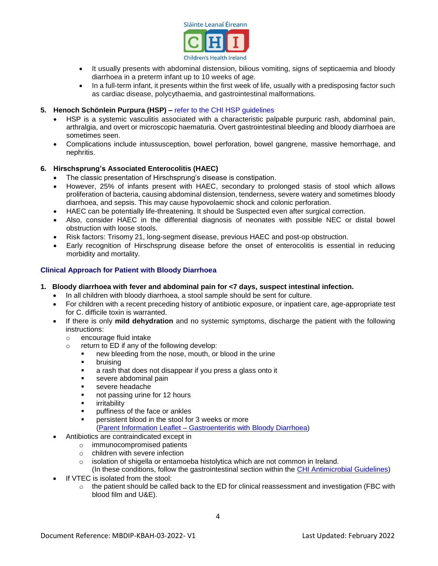

- It usually presents with abdominal distension, bilious vomiting, signs of septicaemia and bloody diarrhoea in a preterm infant up to 10 weeks of age.
- In a full-term infant, it presents within the first week of life, usually with a predisposing factor such as cardiac disease, polycythaemia, and gastrointestinal malformations.
- **5. Henoch Schönlein Purpura (HSP) –** [refer to the CHI HSP guidelines](https://olchc.ie/healthcare-professionals/clinical-guidelines/hennoch-schonlein-purpura.pdf)
	- HSP is a systemic vasculitis associated with a characteristic palpable purpuric rash, abdominal pain, arthralgia, and overt or microscopic haematuria. Overt gastrointestinal bleeding and bloody diarrhoea are sometimes seen.
	- Complications include intussusception, bowel perforation, bowel gangrene, massive hemorrhage, and nephritis.

# **6. Hirschsprung's Associated Enterocolitis (HAEC)**

- The classic presentation of Hirschsprung's disease is constipation.
- However, 25% of infants present with HAEC, secondary to prolonged stasis of stool which allows proliferation of bacteria, causing abdominal distension, tenderness, severe watery and sometimes bloody diarrhoea, and sepsis. This may cause hypovolaemic shock and colonic perforation.
- HAEC can be potentially life-threatening. It should be Suspected even after surgical correction.
- Also, consider HAEC in the differential diagnosis of neonates with possible NEC or distal bowel obstruction with loose stools.
- Risk factors: Trisomy 21, long-segment disease, previous HAEC and post-op obstruction.
- Early recognition of Hirschsprung disease before the onset of enterocolitis is essential in reducing morbidity and mortality.

#### **Clinical Approach for Patient with Bloody Diarrhoea**

- **1. Bloody diarrhoea with fever and abdominal pain for <7 days, suspect intestinal infection.**
	- In all children with bloody diarrhoea, a stool sample should be sent for culture.
	- For children with a recent preceding history of antibiotic exposure, or inpatient care, age-appropriate test for C. difficile toxin is warranted.
	- If there is only **mild dehydration** and no systemic symptoms, discharge the patient with the following instructions:
		- o encourage fluid intake
		- o return to ED if any of the following develop:
			- new bleeding from the nose, mouth, or blood in the urine
			- **•** bruising
			- **a** rash that does not disappear if you press a glass onto it
			- **severe abdominal pain**
			- severe headache
			- not passing urine for 12 hours
			- **ullering irritability**
			- **puller** puffiness of the face or ankles
			- persistent blood in the stool for 3 weeks or more (Parent Information Leaflet – [Gastroenteritis with Bloody Diarrhoea\)](https://www.olchc.ie/healthcare-professionals/clinical-guidelines/clinical-guidelines-hyperlink-files/pil-gastroenteritis-with-bloody-diarrhoea.pdf)
	- Antibiotics are contraindicated except in
		- o immunocompromised patients
		- o children with severe infection
		- $\circ$  isolation of shigella or entamoeba histolytica which are not common in Ireland.
		- (In these conditions, follow the gastrointestinal section within the [CHI Antimicrobial Guidelines\)](https://www.olchc.ie/healthcare-professionals/clinical-guidelines/antimicrobial-guidelines-2021.pdf)
	- If VTEC is isolated from the stool:
		- $\circ$  the patient should be called back to the ED for clinical reassessment and investigation (FBC with blood film and U&E).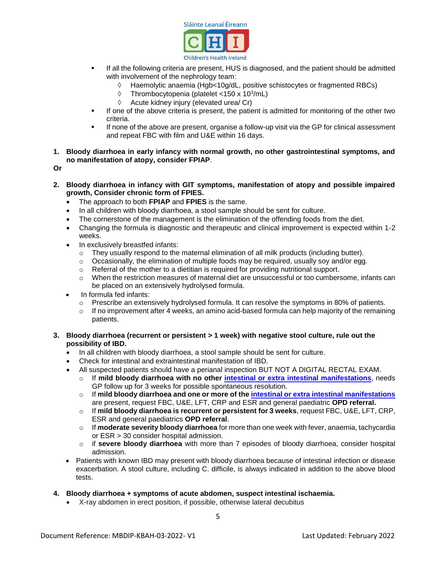

- If all the following criteria are present, HUS is diagnosed, and the patient should be admitted with involvement of the nephrology team:
	- Haemolytic anaemia (Hgb<10g/dL, positive schistocytes or fragmented RBCs)
	- $\Diamond$  Thrombocytopenia (platelet <150 x 10<sup>3</sup>/mL)
	- $\Diamond$  Acute kidney injury (elevated urea/ Cr)
- If one of the above criteria is present, the patient is admitted for monitoring of the other two criteria.
- If none of the above are present, organise a follow-up visit via the GP for clinical assessment and repeat FBC with film and U&E within 16 days.
- **1. Bloody diarrhoea in early infancy with normal growth, no other gastrointestinal symptoms, and no manifestation of atopy, consider FPIAP**.
- **Or**
- **2. Bloody diarrhoea in infancy with GIT symptoms, manifestation of atopy and possible impaired growth, Consider chronic form of FPIES.** 
	- The approach to both **FPIAP** and **FPIES** is the same.
	- In all children with bloody diarrhoea, a stool sample should be sent for culture.
	- The cornerstone of the management is the elimination of the offending foods from the diet.
	- Changing the formula is diagnostic and therapeutic and clinical improvement is expected within 1-2 weeks.
	- In exclusively breastfed infants:
		- $\circ$  They usually respond to the maternal elimination of all milk products (including butter).
		- o Occasionally, the elimination of multiple foods may be required, usually soy and/or egg.
		- o Referral of the mother to a dietitian is required for providing nutritional support.
		- $\circ$  When the restriction measures of maternal diet are unsuccessful or too cumbersome, infants can be placed on an extensively hydrolysed formula.
	- In formula fed infants:
		- o Prescribe an extensively hydrolysed formula. It can resolve the symptoms in 80% of patients.
		- $\circ$  If no improvement after 4 weeks, an amino acid-based formula can help majority of the remaining patients.

#### **3. Bloody diarrhoea (recurrent or persistent > 1 week) with negative stool culture, rule out the possibility of IBD.**

- In all children with bloody diarrhoea, a stool sample should be sent for culture.
- Check for intestinal and extraintestinal manifestation of IBD.
- All suspected patients should have a perianal inspection BUT NOT A DIGITAL RECTAL EXAM.
	- o If **mild bloody diarrhoea with no other [intestinal or extra intestinal](#page-2-0) manifestations**, needs GP follow up for 3 weeks for possible spontaneous resolution.
	- o If **mild bloody diarrhoea and one or more of the [intestinal or extra intestinal](#page-2-1) manifestations** are present, request FBC, U&E, LFT, CRP and ESR and general paediatric **OPD referral.**
	- o If **mild bloody diarrhoea is recurrent or persistent for 3 weeks**, request FBC, U&E, LFT, CRP, ESR and general paediatrics **OPD referral**.
	- o If **moderate severity bloody diarrhoea** for more than one week with fever, anaemia, tachycardia or ESR > 30 consider hospital admission.
	- o if **severe bloody diarrhoea** with more than 7 episodes of bloody diarrhoea, consider hospital admission.
- Patients with known IBD may present with bloody diarrhoea because of intestinal infection or disease exacerbation. A stool culture, including C. difficile, is always indicated in addition to the above blood tests.

#### **4. Bloody diarrhoea + symptoms of acute abdomen, suspect intestinal ischaemia.**

X-ray abdomen in erect position, if possible, otherwise lateral decubitus